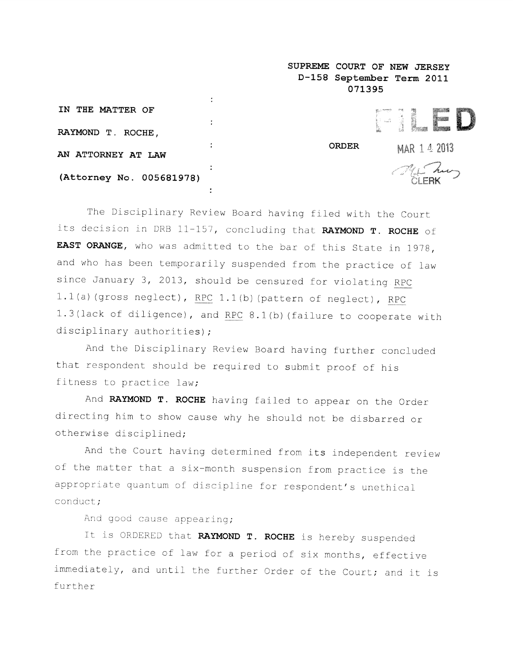| D-158 September Term 2011    |        |
|------------------------------|--------|
|                              |        |
|                              |        |
|                              |        |
| <b>ORDER</b><br>MAR 1 4 2013 |        |
| THE Lung                     |        |
|                              | 071395 |

SUPREME COURT OF NEW JERSEY

The Disciplinary Review Board having filed with the Court its decision in DRB 11-157, concluding that RAYMOND T. ROCHE of EAST ORANGE, who was admitted to the bar of this State in 1978, and who has been temporarily suspended from the practice of law since January 3, 2013, should be censured for violating RPC L1(a) (gross neglect), RPC 1.1(b) (pattern of neglect), RPC 1.3(lack of diligence), and RPC 8.1(b) (failure to cooperate with disciplinary authorities);

And the Disciplinary Review Board having further concluded that respondent should be required to submit proo<sup>f</sup> of his fitness to practice law;

And RAYMOND T. ROCHE having failed to appear on the Order directing him to show cause why he should not be disbarred or otherwise disciplined;

And the Court having determined from its independent review of the matter that <sup>a</sup> six—month suspension from practice is the appropriate quantum of discipline for respondent's unethical conduct;

And good cause appearing;

It is ORDERED that RAYMOND T. ROCHE is hereby suspended from the practice of law for <sup>a</sup> period of six months, effective immediately, and until the further Order of the Court; and it is further